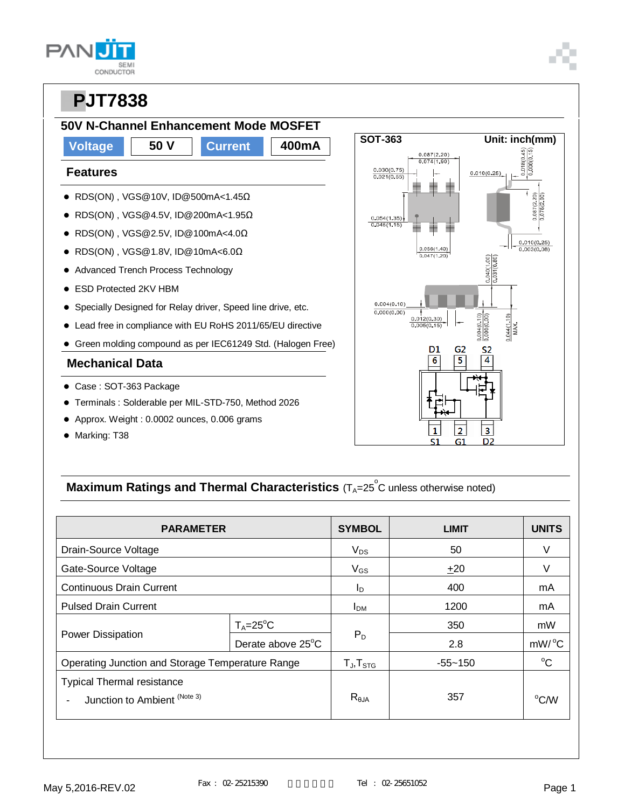| L                 |
|-------------------|
| SEMI<br>CONDUCTOR |

### **50V N-Channel Enhancement Mode MOSFET**

### **Voltage 50 V Current 400mA Features** RDS(ON) [, VGS@10V,](mailto:VGS@-4.5V) ID@500mA<1.45Ω RDS(ON) , VGS@4.5V, ID@200mA<1.95Ω RDS(ON) , VGS@2.5V, ID@100mA<4.0Ω RDS(ON) , VGS@1.8V, ID@10mA<6.0Ω • Advanced Trench Process Technology ESD Protected 2KV HBM Specially Designed for Relay driver, Speed line drive, etc. Lead free in compliance with EU RoHS 2011/65/EU directive Green molding compound as per IEC61249 Std. (Halogen Free) **Mechanical Data** Case : SOT-363 Package Terminals : Solderable per MIL-STD-750, Method 2026

- Approx. Weight : 0.0002 ounces, 0.006 grams
- Marking: T38



### **Maximum Ratings and Thermal Characteristics** (T<sub>A</sub>=25<sup>°</sup>C unless otherwise noted)

| <b>PARAMETER</b>                                 | <b>SYMBOL</b>       | <b>LIMIT</b>   | <b>UNITS</b> |               |
|--------------------------------------------------|---------------------|----------------|--------------|---------------|
| Drain-Source Voltage                             |                     | $V_{DS}$       | 50           |               |
| Gate-Source Voltage                              |                     | $V_{GS}$       | ±20          | V             |
| <b>Continuous Drain Current</b>                  |                     | <sup>I</sup> D | 400          | mA            |
| <b>Pulsed Drain Current</b>                      | I <sub>DM</sub>     | 1200           | mA           |               |
| <b>Power Dissipation</b>                         | $T_A = 25$ °C       | $P_D$          | 350          | mW            |
|                                                  | Derate above 25°C   |                | 2.8          | mW/°C         |
| Operating Junction and Storage Temperature Range | $T_{J}$ , $T_{STG}$ | $-55 - 150$    | $^{\circ}C$  |               |
| <b>Typical Thermal resistance</b>                |                     |                |              |               |
| Junction to Ambient (Note 3)                     |                     | $R_{\theta$ JA | 357          | $^{\circ}$ CM |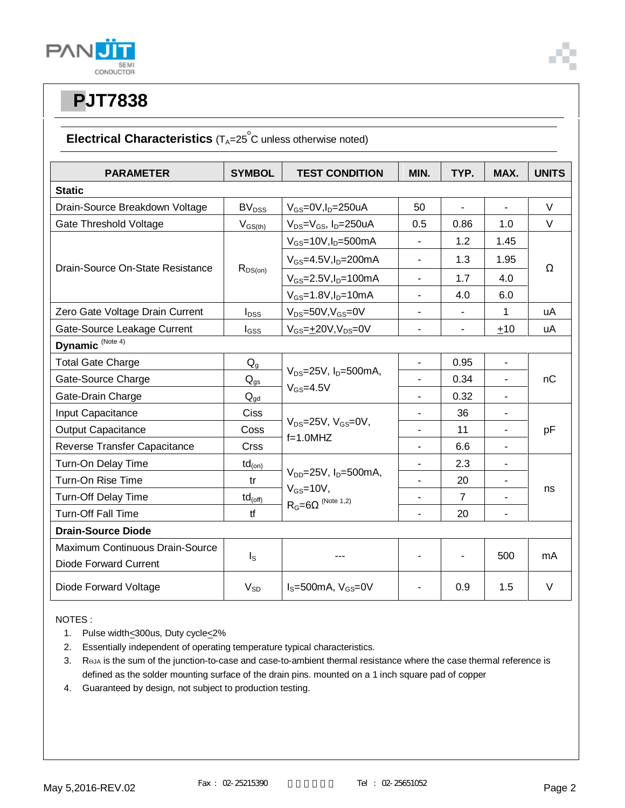

### **Electrical Characteristics** (T<sub>A</sub>=25<sup>°</sup>C unless otherwise noted)

| <b>PARAMETER</b>                    | <b>SYMBOL</b>     | <b>TEST CONDITION</b>                           | MIN.                     | TYP.                     | MAX.                     | <b>UNITS</b> |
|-------------------------------------|-------------------|-------------------------------------------------|--------------------------|--------------------------|--------------------------|--------------|
| <b>Static</b>                       |                   |                                                 |                          |                          |                          |              |
| Drain-Source Breakdown Voltage      | BV <sub>DSS</sub> | $V_{GS}$ =0V,I <sub>D</sub> =250uA              | 50                       | $\blacksquare$           | ä,                       | $\vee$       |
| Gate Threshold Voltage              | $V_{GS(th)}$      | $V_{DS} = V_{GS}$ , I <sub>D</sub> =250uA       | 0.5                      | 0.86                     | 1.0                      | $\vee$       |
| Drain-Source On-State Resistance    | $R_{DS(on)}$      | $V_{GS}$ =10V, $I_D$ =500mA                     | ÷,                       | 1.2                      | 1.45                     | Ω            |
|                                     |                   | $V_{GS} = 4.5V, I_D = 200mA$                    | $\mathbf{r}$             | 1.3                      | 1.95                     |              |
|                                     |                   | $V_{GS} = 2.5V, I_D = 100mA$                    | $\blacksquare$           | 1.7                      | 4.0                      |              |
|                                     |                   | $V_{GS} = 1.8 V, I_D = 10 mA$                   | $\overline{\phantom{a}}$ | 4.0                      | 6.0                      |              |
| Zero Gate Voltage Drain Current     | $I_{DSS}$         | $V_{DS} = 50V, V_{GS} = 0V$                     | $\blacksquare$           | $\overline{\phantom{a}}$ | 1                        | uA           |
| Gate-Source Leakage Current         | $I_{GSS}$         | $V_{GS} = \pm 20V, V_{DS} = 0V$                 | $\overline{\phantom{a}}$ | $\overline{\phantom{a}}$ | ±10                      | uA           |
| Dynamic <sup>(Note 4)</sup>         |                   |                                                 |                          |                          |                          |              |
| <b>Total Gate Charge</b>            | $Q_{q}$           |                                                 | $\blacksquare$           | 0.95                     | $\overline{\phantom{a}}$ | nC           |
| Gate-Source Charge                  | $Q_{gs}$          | $V_{DS}=25V$ , $I_D=500mA$ ,<br>$V_{GS} = 4.5V$ |                          | 0.34                     | ÷,                       |              |
| Gate-Drain Charge                   | $Q_{qd}$          |                                                 | $\blacksquare$           | 0.32                     | ÷,                       |              |
| Input Capacitance                   | <b>Ciss</b>       |                                                 | $\blacksquare$           | 36                       | $\overline{\phantom{a}}$ |              |
| <b>Output Capacitance</b>           | Coss              | $V_{DS}$ =25V, $V_{GS}$ =0V,<br>$f=1.0$ MHZ     | $\overline{\phantom{a}}$ | 11                       | $\blacksquare$           | pF           |
| <b>Reverse Transfer Capacitance</b> | Crss              |                                                 |                          | 6.6                      |                          |              |
| Turn-On Delay Time                  | $td_{(on)}$       |                                                 |                          | 2.3                      | $\overline{\phantom{a}}$ | ns           |
| Turn-On Rise Time                   | tr                | $V_{DD} = 25V$ , $I_D = 500$ mA,                | ä,                       | 20                       | $\overline{\phantom{a}}$ |              |
| Turn-Off Delay Time                 | $td_{(off)}$      | $V_{GS}$ =10V,<br>$R_G = 6\Omega$ (Note 1,2)    | $\overline{\phantom{a}}$ | $\overline{7}$           |                          |              |
| <b>Turn-Off Fall Time</b>           | tf                |                                                 | $\blacksquare$           | 20                       | ÷,                       |              |
| <b>Drain-Source Diode</b>           |                   |                                                 |                          |                          |                          |              |
| Maximum Continuous Drain-Source     |                   |                                                 |                          |                          |                          |              |
| Diode Forward Current               | $I_{\rm S}$       |                                                 | $\blacksquare$           |                          | 500                      | mA           |
| Diode Forward Voltage               | $V_{SD}$          | $I_s = 500$ mA, $V_{GS} = 0V$                   | $\blacksquare$           | 0.9                      | 1.5                      | $\vee$       |

NOTES :

- 1. Pulse width<300us, Duty cycle<2%
- 2. Essentially independent of operating temperature typical characteristics.
- 3. Roja is the sum of the junction-to-case and case-to-ambient thermal resistance where the case thermal reference is defined as the solder mounting surface of the drain pins. mounted on a 1 inch square pad of copper
- 4. Guaranteed by design, not subject to production testing.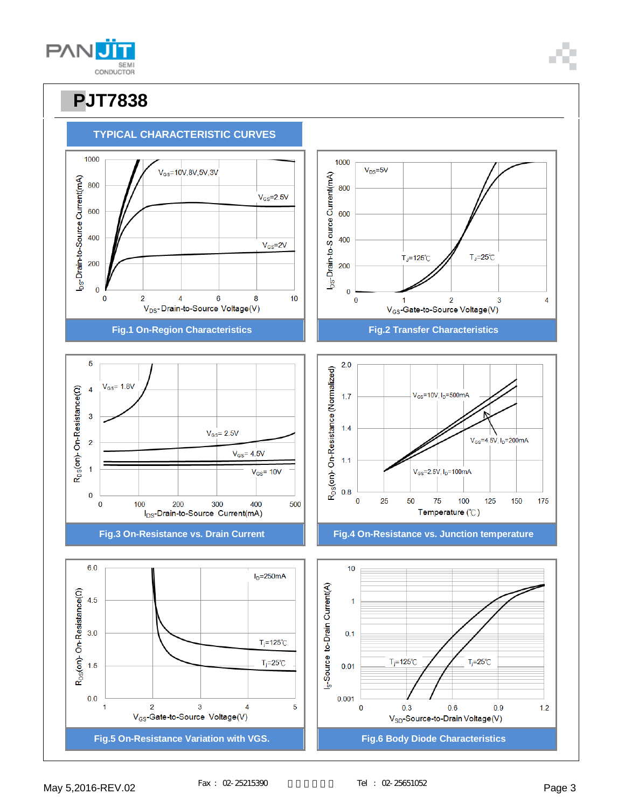

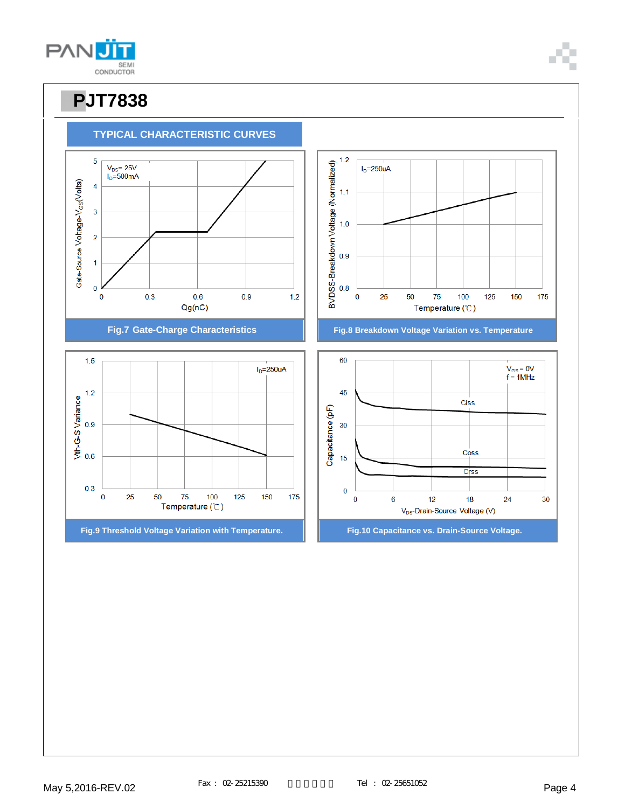

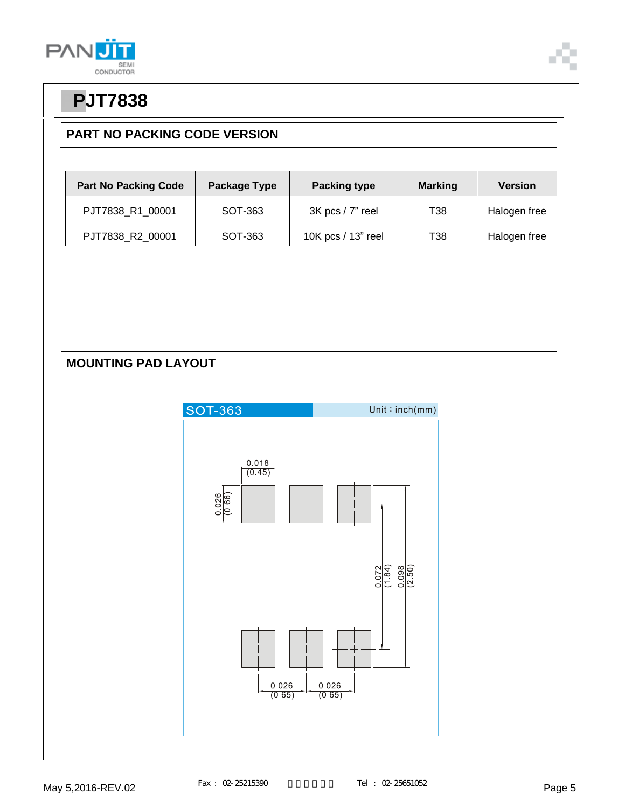



#### **PART NO PACKING CODE VERSION**

| <b>Part No Packing Code</b> | Package Type | <b>Packing type</b><br><b>Marking</b> |                 | <b>Version</b> |
|-----------------------------|--------------|---------------------------------------|-----------------|----------------|
| PJT7838 R1 00001            | SOT-363      | $3K$ pcs / $7"$ reel                  | <b>T38</b>      | Halogen free   |
| PJT7838_R2_00001            | SOT-363      | 10K pcs / 13" reel                    | T <sub>38</sub> | Halogen free   |

#### **MOUNTING PAD LAYOUT**